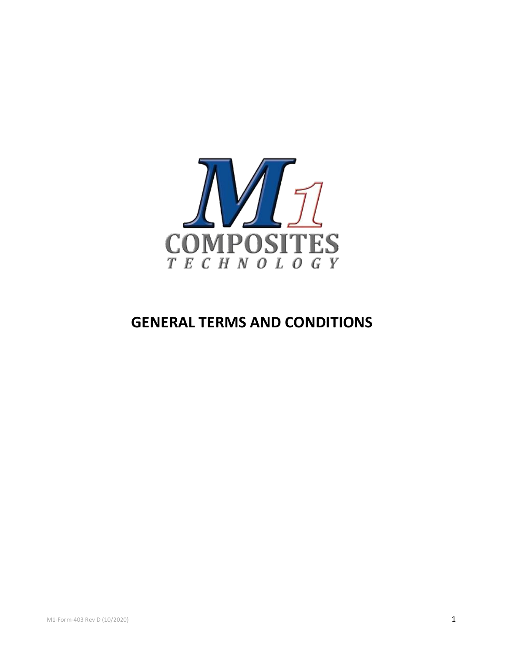

# **GENERAL TERMS AND CONDITIONS**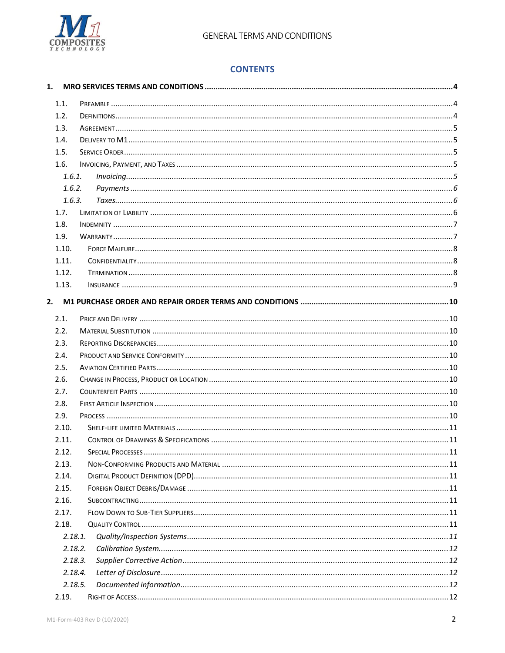

# **CONTENTS**

| 1.1.  |         |  |
|-------|---------|--|
| 1.2.  |         |  |
| 1.3.  |         |  |
| 1.4.  |         |  |
| 1.5.  |         |  |
| 1.6.  |         |  |
|       | 1.6.1.  |  |
|       | 1.6.2.  |  |
|       | 1.6.3.  |  |
| 1.7.  |         |  |
| 1.8.  |         |  |
| 1.9.  |         |  |
| 1.10. |         |  |
| 1.11. |         |  |
| 1.12. |         |  |
| 1.13. |         |  |
|       |         |  |
| 2.    |         |  |
| 2.1.  |         |  |
| 2.2.  |         |  |
| 2.3.  |         |  |
| 2.4.  |         |  |
| 2.5.  |         |  |
| 2.6.  |         |  |
| 2.7.  |         |  |
| 2.8.  |         |  |
| 2.9.  |         |  |
| 2.10. |         |  |
| 2.11. |         |  |
| 2.12. |         |  |
| 2.13. |         |  |
| 2.14. |         |  |
| 2.15. |         |  |
| 2.16. |         |  |
| 2.17. |         |  |
| 2.18. |         |  |
|       | 2.18.1. |  |
|       | 2.18.2. |  |
|       | 2.18.3. |  |
|       | 2.18.4. |  |
|       | 2.18.5. |  |
| 2.19. |         |  |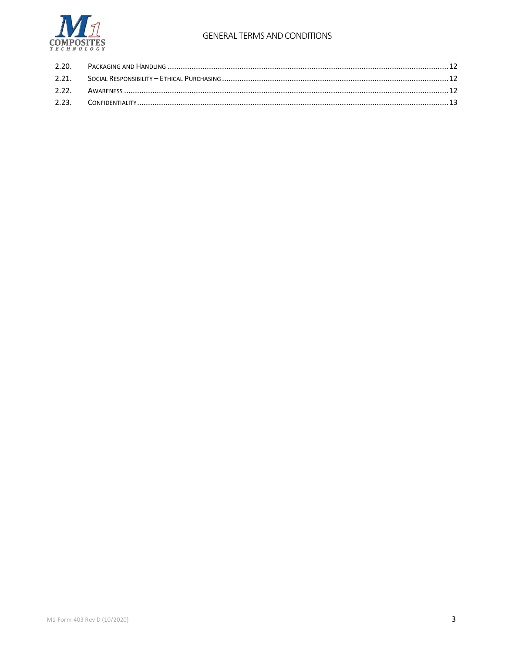

# **GENERAL TERMS AND CONDITIONS**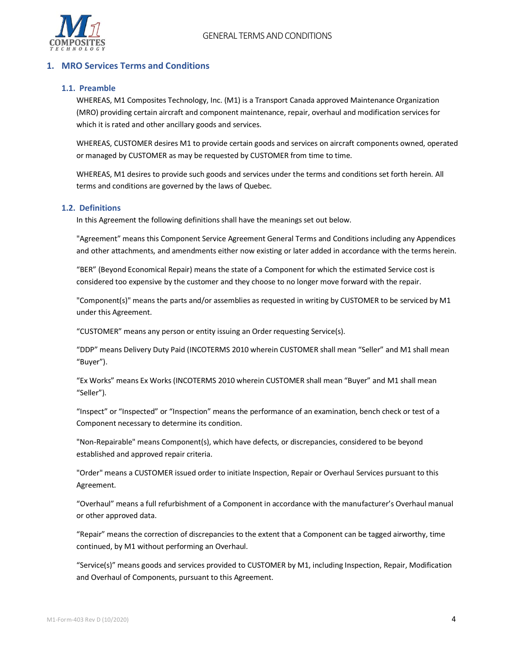

# <span id="page-3-1"></span><span id="page-3-0"></span>**1. MRO Services Terms and Conditions**

# **1.1. Preamble**

WHEREAS, M1 Composites Technology, Inc. (M1) is a Transport Canada approved Maintenance Organization (MRO) providing certain aircraft and component maintenance, repair, overhaul and modification services for which it is rated and other ancillary goods and services.

WHEREAS, CUSTOMER desires M1 to provide certain goods and services on aircraft components owned, operated or managed by CUSTOMER as may be requested by CUSTOMER from time to time.

WHEREAS, M1 desires to provide such goods and services under the terms and conditions set forth herein. All terms and conditions are governed by the laws of Quebec.

#### <span id="page-3-2"></span>**1.2. Definitions**

In this Agreement the following definitions shall have the meanings set out below.

"Agreement" means this Component Service Agreement General Terms and Conditions including any Appendices and other attachments, and amendments either now existing or later added in accordance with the terms herein.

"BER" (Beyond Economical Repair) means the state of a Component for which the estimated Service cost is considered too expensive by the customer and they choose to no longer move forward with the repair.

"Component(s)" means the parts and/or assemblies as requested in writing by CUSTOMER to be serviced by M1 under this Agreement.

"CUSTOMER" means any person or entity issuing an Order requesting Service(s).

"DDP" means Delivery Duty Paid (INCOTERMS 2010 wherein CUSTOMER shall mean "Seller" and M1 shall mean "Buyer").

"Ex Works" means Ex Works (INCOTERMS 2010 wherein CUSTOMER shall mean "Buyer" and M1 shall mean "Seller").

"Inspect" or "Inspected" or "Inspection" means the performance of an examination, bench check or test of a Component necessary to determine its condition.

"Non-Repairable" means Component(s), which have defects, or discrepancies, considered to be beyond established and approved repair criteria.

"Order" means a CUSTOMER issued order to initiate Inspection, Repair or Overhaul Services pursuant to this Agreement.

"Overhaul" means a full refurbishment of a Component in accordance with the manufacturer's Overhaul manual or other approved data.

"Repair" means the correction of discrepancies to the extent that a Component can be tagged airworthy, time continued, by M1 without performing an Overhaul.

"Service(s)" means goods and services provided to CUSTOMER by M1, including Inspection, Repair, Modification and Overhaul of Components, pursuant to this Agreement.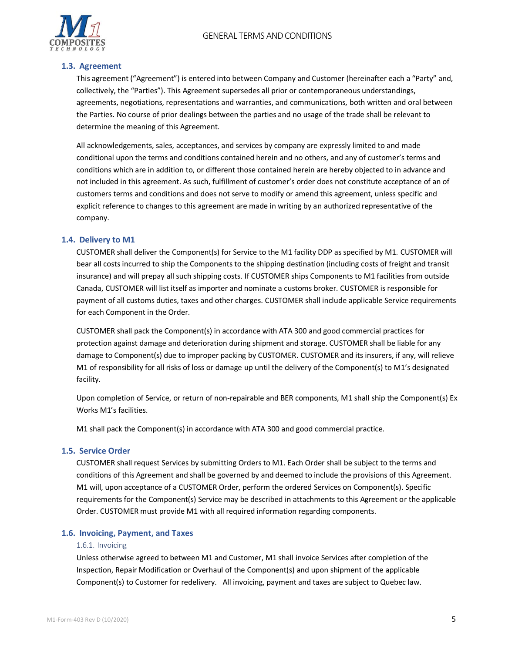# GENERAL TERMS AND CONDITIONS



# <span id="page-4-0"></span>**1.3. Agreement**

This agreement ("Agreement") is entered into between Company and Customer (hereinafter each a "Party" and, collectively, the "Parties"). This Agreement supersedes all prior or contemporaneous understandings, agreements, negotiations, representations and warranties, and communications, both written and oral between the Parties. No course of prior dealings between the parties and no usage of the trade shall be relevant to determine the meaning of this Agreement.

All acknowledgements, sales, acceptances, and services by company are expressly limited to and made conditional upon the terms and conditions contained herein and no others, and any of customer's terms and conditions which are in addition to, or different those contained herein are hereby objected to in advance and not included in this agreement. As such, fulfillment of customer's order does not constitute acceptance of an of customers terms and conditions and does not serve to modify or amend this agreement, unless specific and explicit reference to changes to this agreement are made in writing by an authorized representative of the company.

#### <span id="page-4-1"></span>**1.4. Delivery to M1**

CUSTOMER shall deliver the Component(s) for Service to the M1 facility DDP as specified by M1. CUSTOMER will bear all costs incurred to ship the Components to the shipping destination (including costs of freight and transit insurance) and will prepay all such shipping costs. If CUSTOMER ships Components to M1 facilities from outside Canada, CUSTOMER will list itself as importer and nominate a customs broker. CUSTOMER is responsible for payment of all customs duties, taxes and other charges. CUSTOMER shall include applicable Service requirements for each Component in the Order.

CUSTOMER shall pack the Component(s) in accordance with ATA 300 and good commercial practices for protection against damage and deterioration during shipment and storage. CUSTOMER shall be liable for any damage to Component(s) due to improper packing by CUSTOMER. CUSTOMER and its insurers, if any, will relieve M1 of responsibility for all risks of loss or damage up until the delivery of the Component(s) to M1's designated facility.

Upon completion of Service, or return of non-repairable and BER components, M1 shall ship the Component(s) Ex Works M1's facilities.

M1 shall pack the Component(s) in accordance with ATA 300 and good commercial practice.

#### <span id="page-4-2"></span>**1.5. Service Order**

CUSTOMER shall request Services by submitting Orders to M1. Each Order shall be subject to the terms and conditions of this Agreement and shall be governed by and deemed to include the provisions of this Agreement. M1 will, upon acceptance of a CUSTOMER Order, perform the ordered Services on Component(s). Specific requirements for the Component(s) Service may be described in attachments to this Agreement or the applicable Order. CUSTOMER must provide M1 with all required information regarding components.

#### <span id="page-4-4"></span><span id="page-4-3"></span>**1.6. Invoicing, Payment, and Taxes**

#### 1.6.1. Invoicing

Unless otherwise agreed to between M1 and Customer, M1 shall invoice Services after completion of the Inspection, Repair Modification or Overhaul of the Component(s) and upon shipment of the applicable Component(s) to Customer for redelivery. All invoicing, payment and taxes are subject to Quebec law.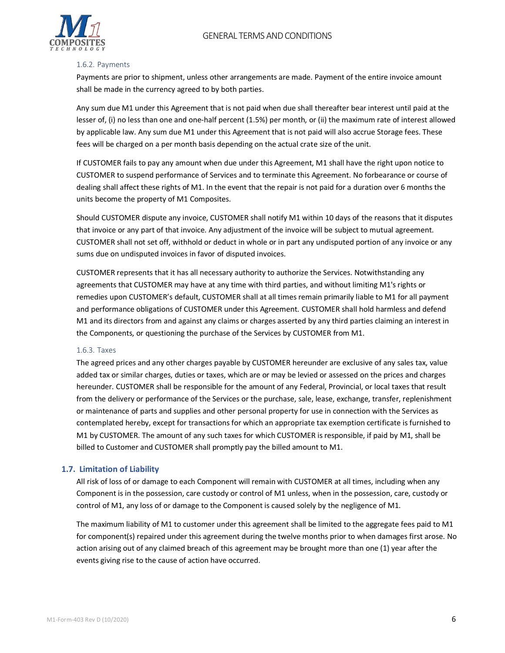

#### <span id="page-5-0"></span>1.6.2. Payments

Payments are prior to shipment, unless other arrangements are made. Payment of the entire invoice amount shall be made in the currency agreed to by both parties.

Any sum due M1 under this Agreement that is not paid when due shall thereafter bear interest until paid at the lesser of, (i) no less than one and one-half percent (1.5%) per month, or (ii) the maximum rate of interest allowed by applicable law. Any sum due M1 under this Agreement that is not paid will also accrue Storage fees. These fees will be charged on a per month basis depending on the actual crate size of the unit.

If CUSTOMER fails to pay any amount when due under this Agreement, M1 shall have the right upon notice to CUSTOMER to suspend performance of Services and to terminate this Agreement. No forbearance or course of dealing shall affect these rights of M1. In the event that the repair is not paid for a duration over 6 months the units become the property of M1 Composites.

Should CUSTOMER dispute any invoice, CUSTOMER shall notify M1 within 10 days of the reasons that it disputes that invoice or any part of that invoice. Any adjustment of the invoice will be subject to mutual agreement. CUSTOMER shall not set off, withhold or deduct in whole or in part any undisputed portion of any invoice or any sums due on undisputed invoices in favor of disputed invoices.

CUSTOMER represents that it has all necessary authority to authorize the Services. Notwithstanding any agreements that CUSTOMER may have at any time with third parties, and without limiting M1's rights or remedies upon CUSTOMER's default, CUSTOMER shall at all times remain primarily liable to M1 for all payment and performance obligations of CUSTOMER under this Agreement. CUSTOMER shall hold harmless and defend M1 and its directors from and against any claims or charges asserted by any third parties claiming an interest in the Components, or questioning the purchase of the Services by CUSTOMER from M1.

#### <span id="page-5-1"></span>1.6.3. Taxes

The agreed prices and any other charges payable by CUSTOMER hereunder are exclusive of any sales tax, value added tax or similar charges, duties or taxes, which are or may be levied or assessed on the prices and charges hereunder. CUSTOMER shall be responsible for the amount of any Federal, Provincial, or local taxes that result from the delivery or performance of the Services or the purchase, sale, lease, exchange, transfer, replenishment or maintenance of parts and supplies and other personal property for use in connection with the Services as contemplated hereby, except for transactions for which an appropriate tax exemption certificate is furnished to M1 by CUSTOMER. The amount of any such taxes for which CUSTOMER is responsible, if paid by M1, shall be billed to Customer and CUSTOMER shall promptly pay the billed amount to M1.

#### <span id="page-5-2"></span>**1.7. Limitation of Liability**

All risk of loss of or damage to each Component will remain with CUSTOMER at all times, including when any Component is in the possession, care custody or control of M1 unless, when in the possession, care, custody or control of M1, any loss of or damage to the Component is caused solely by the negligence of M1.

The maximum liability of M1 to customer under this agreement shall be limited to the aggregate fees paid to M1 for component(s) repaired under this agreement during the twelve months prior to when damages first arose. No action arising out of any claimed breach of this agreement may be brought more than one (1) year after the events giving rise to the cause of action have occurred.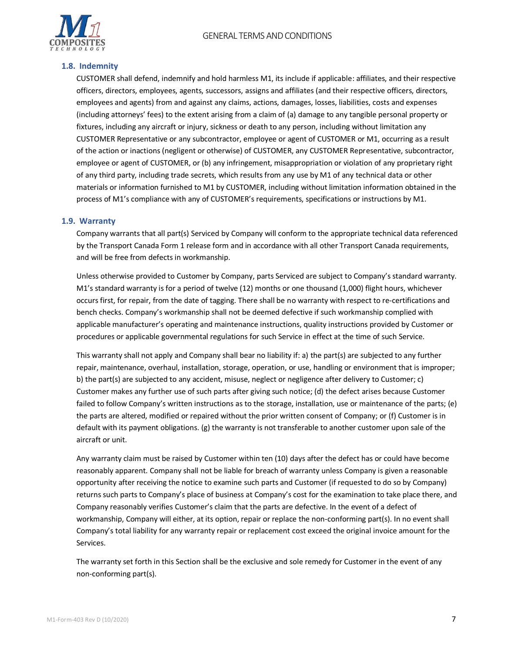

# <span id="page-6-0"></span>**1.8. Indemnity**

CUSTOMER shall defend, indemnify and hold harmless M1, its include if applicable: affiliates, and their respective officers, directors, employees, agents, successors, assigns and affiliates (and their respective officers, directors, employees and agents) from and against any claims, actions, damages, losses, liabilities, costs and expenses (including attorneys' fees) to the extent arising from a claim of (a) damage to any tangible personal property or fixtures, including any aircraft or injury, sickness or death to any person, including without limitation any CUSTOMER Representative or any subcontractor, employee or agent of CUSTOMER or M1, occurring as a result of the action or inactions (negligent or otherwise) of CUSTOMER, any CUSTOMER Representative, subcontractor, employee or agent of CUSTOMER, or (b) any infringement, misappropriation or violation of any proprietary right of any third party, including trade secrets, which results from any use by M1 of any technical data or other materials or information furnished to M1 by CUSTOMER, including without limitation information obtained in the process of M1's compliance with any of CUSTOMER's requirements, specifications or instructions by M1.

# <span id="page-6-1"></span>**1.9. Warranty**

Company warrants that all part(s) Serviced by Company will conform to the appropriate technical data referenced by the Transport Canada Form 1 release form and in accordance with all other Transport Canada requirements, and will be free from defects in workmanship.

Unless otherwise provided to Customer by Company, parts Serviced are subject to Company's standard warranty. M1's standard warranty is for a period of twelve (12) months or one thousand (1,000) flight hours, whichever occurs first, for repair, from the date of tagging. There shall be no warranty with respect to re-certifications and bench checks. Company's workmanship shall not be deemed defective if such workmanship complied with applicable manufacturer's operating and maintenance instructions, quality instructions provided by Customer or procedures or applicable governmental regulations for such Service in effect at the time of such Service.

This warranty shall not apply and Company shall bear no liability if: a) the part(s) are subjected to any further repair, maintenance, overhaul, installation, storage, operation, or use, handling or environment that is improper; b) the part(s) are subjected to any accident, misuse, neglect or negligence after delivery to Customer; c) Customer makes any further use of such parts after giving such notice; (d) the defect arises because Customer failed to follow Company's written instructions as to the storage, installation, use or maintenance of the parts; (e) the parts are altered, modified or repaired without the prior written consent of Company; or (f) Customer is in default with its payment obligations. (g) the warranty is not transferable to another customer upon sale of the aircraft or unit.

Any warranty claim must be raised by Customer within ten (10) days after the defect has or could have become reasonably apparent. Company shall not be liable for breach of warranty unless Company is given a reasonable opportunity after receiving the notice to examine such parts and Customer (if requested to do so by Company) returns such parts to Company's place of business at Company's cost for the examination to take place there, and Company reasonably verifies Customer's claim that the parts are defective. In the event of a defect of workmanship, Company will either, at its option, repair or replace the non-conforming part(s). In no event shall Company's total liability for any warranty repair or replacement cost exceed the original invoice amount for the Services.

The warranty set forth in this Section shall be the exclusive and sole remedy for Customer in the event of any non‐conforming part(s).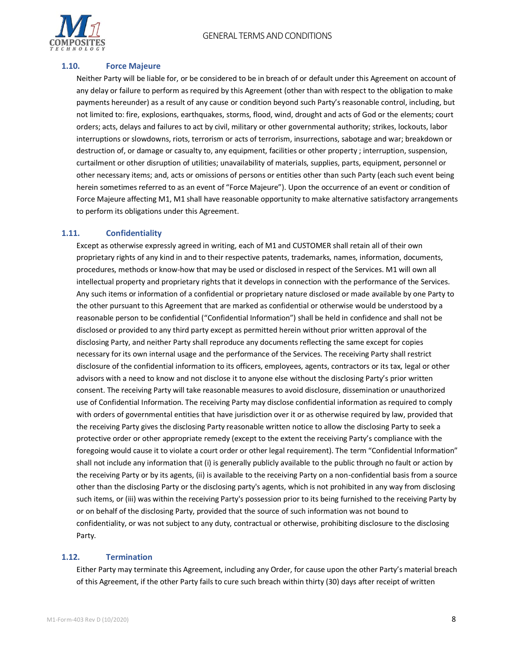

# <span id="page-7-0"></span>**1.10. Force Majeure**

Neither Party will be liable for, or be considered to be in breach of or default under this Agreement on account of any delay or failure to perform as required by this Agreement (other than with respect to the obligation to make payments hereunder) as a result of any cause or condition beyond such Party's reasonable control, including, but not limited to: fire, explosions, earthquakes, storms, flood, wind, drought and acts of God or the elements; court orders; acts, delays and failures to act by civil, military or other governmental authority; strikes, lockouts, labor interruptions or slowdowns, riots, terrorism or acts of terrorism, insurrections, sabotage and war; breakdown or destruction of, or damage or casualty to, any equipment, facilities or other property ; interruption, suspension, curtailment or other disruption of utilities; unavailability of materials, supplies, parts, equipment, personnel or other necessary items; and, acts or omissions of persons or entities other than such Party (each such event being herein sometimes referred to as an event of "Force Majeure"). Upon the occurrence of an event or condition of Force Majeure affecting M1, M1 shall have reasonable opportunity to make alternative satisfactory arrangements to perform its obligations under this Agreement.

# <span id="page-7-1"></span>**1.11. Confidentiality**

Except as otherwise expressly agreed in writing, each of M1 and CUSTOMER shall retain all of their own proprietary rights of any kind in and to their respective patents, trademarks, names, information, documents, procedures, methods or know-how that may be used or disclosed in respect of the Services. M1 will own all intellectual property and proprietary rights that it develops in connection with the performance of the Services. Any such items or information of a confidential or proprietary nature disclosed or made available by one Party to the other pursuant to this Agreement that are marked as confidential or otherwise would be understood by a reasonable person to be confidential ("Confidential Information") shall be held in confidence and shall not be disclosed or provided to any third party except as permitted herein without prior written approval of the disclosing Party, and neither Party shall reproduce any documents reflecting the same except for copies necessary for its own internal usage and the performance of the Services. The receiving Party shall restrict disclosure of the confidential information to its officers, employees, agents, contractors or its tax, legal or other advisors with a need to know and not disclose it to anyone else without the disclosing Party's prior written consent. The receiving Party will take reasonable measures to avoid disclosure, dissemination or unauthorized use of Confidential Information. The receiving Party may disclose confidential information as required to comply with orders of governmental entities that have jurisdiction over it or as otherwise required by law, provided that the receiving Party gives the disclosing Party reasonable written notice to allow the disclosing Party to seek a protective order or other appropriate remedy (except to the extent the receiving Party's compliance with the foregoing would cause it to violate a court order or other legal requirement). The term "Confidential Information" shall not include any information that (i) is generally publicly available to the public through no fault or action by the receiving Party or by its agents, (ii) is available to the receiving Party on a non-confidential basis from a source other than the disclosing Party or the disclosing party's agents, which is not prohibited in any way from disclosing such items, or (iii) was within the receiving Party's possession prior to its being furnished to the receiving Party by or on behalf of the disclosing Party, provided that the source of such information was not bound to confidentiality, or was not subject to any duty, contractual or otherwise, prohibiting disclosure to the disclosing Party.

# <span id="page-7-2"></span>**1.12. Termination**

Either Party may terminate this Agreement, including any Order, for cause upon the other Party's material breach of this Agreement, if the other Party fails to cure such breach within thirty (30) days after receipt of written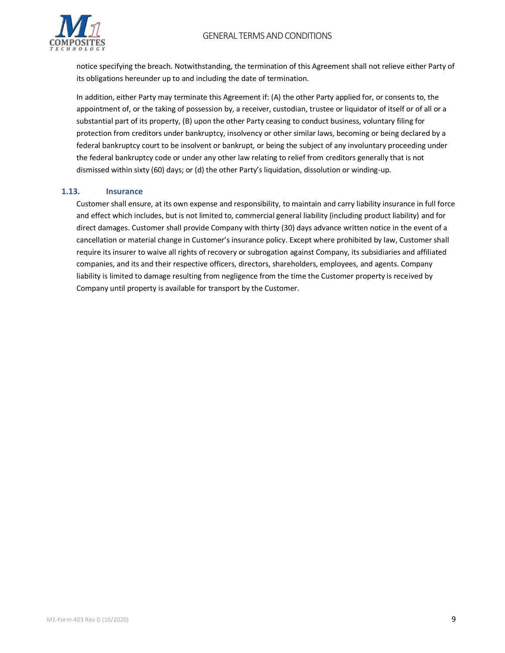

notice specifying the breach. Notwithstanding, the termination of this Agreement shall not relieve either Party of its obligations hereunder up to and including the date of termination.

In addition, either Party may terminate this Agreement if: (A) the other Party applied for, or consents to, the appointment of, or the taking of possession by, a receiver, custodian, trustee or liquidator of itself or of all or a substantial part of its property, (B) upon the other Party ceasing to conduct business, voluntary filing for protection from creditors under bankruptcy, insolvency or other similar laws, becoming or being declared by a federal bankruptcy court to be insolvent or bankrupt, or being the subject of any involuntary proceeding under the federal bankruptcy code or under any other law relating to relief from creditors generally that is not dismissed within sixty (60) days; or (d) the other Party's liquidation, dissolution or winding-up.

# <span id="page-8-0"></span>**1.13. Insurance**

Customer shall ensure, at its own expense and responsibility, to maintain and carry liability insurance in full force and effect which includes, but is not limited to, commercial general liability (including product liability) and for direct damages. Customer shall provide Company with thirty (30) days advance written notice in the event of a cancellation or material change in Customer's insurance policy. Except where prohibited by law, Customer shall require its insurer to waive all rights of recovery or subrogation against Company, its subsidiaries and affiliated companies, and its and their respective officers, directors, shareholders, employees, and agents. Company liability is limited to damage resulting from negligence from the time the Customer property is received by Company until property is available for transport by the Customer.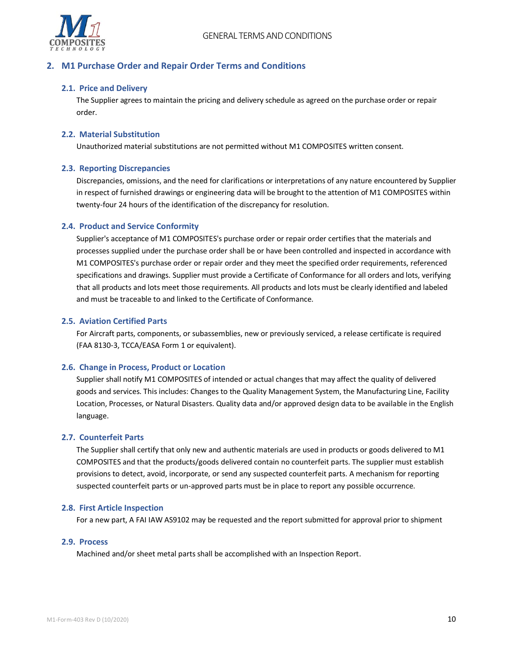

# <span id="page-9-1"></span><span id="page-9-0"></span>**2. M1 Purchase Order and Repair Order Terms and Conditions**

# **2.1. Price and Delivery**

The Supplier agrees to maintain the pricing and delivery schedule as agreed on the purchase order or repair order.

## <span id="page-9-2"></span>**2.2. Material Substitution**

Unauthorized material substitutions are not permitted without M1 COMPOSITES written consent.

# <span id="page-9-3"></span>**2.3. Reporting Discrepancies**

Discrepancies, omissions, and the need for clarifications or interpretations of any nature encountered by Supplier in respect of furnished drawings or engineering data will be brought to the attention of M1 COMPOSITES within twenty-four 24 hours of the identification of the discrepancy for resolution.

# <span id="page-9-4"></span>**2.4. Product and Service Conformity**

Supplier's acceptance of M1 COMPOSITES's purchase order or repair order certifies that the materials and processes supplied under the purchase order shall be or have been controlled and inspected in accordance with M1 COMPOSITES's purchase order or repair order and they meet the specified order requirements, referenced specifications and drawings. Supplier must provide a Certificate of Conformance for all orders and lots, verifying that all products and lots meet those requirements. All products and lots must be clearly identified and labeled and must be traceable to and linked to the Certificate of Conformance.

# <span id="page-9-5"></span>**2.5. Aviation Certified Parts**

For Aircraft parts, components, or subassemblies, new or previously serviced, a release certificate is required (FAA 8130-3, TCCA/EASA Form 1 or equivalent).

#### <span id="page-9-6"></span>**2.6. Change in Process, Product or Location**

Supplier shall notify M1 COMPOSITES of intended or actual changes that may affect the quality of delivered goods and services. This includes: Changes to the Quality Management System, the Manufacturing Line, Facility Location, Processes, or Natural Disasters. Quality data and/or approved design data to be available in the English language.

#### <span id="page-9-7"></span>**2.7. Counterfeit Parts**

The Supplier shall certify that only new and authentic materials are used in products or goods delivered to M1 COMPOSITES and that the products/goods delivered contain no counterfeit parts. The supplier must establish provisions to detect, avoid, incorporate, or send any suspected counterfeit parts. A mechanism for reporting suspected counterfeit parts or un-approved parts must be in place to report any possible occurrence.

#### <span id="page-9-8"></span>**2.8. First Article Inspection**

For a new part, A FAI IAW AS9102 may be requested and the report submitted for approval prior to shipment

#### <span id="page-9-9"></span>**2.9. Process**

Machined and/or sheet metal parts shall be accomplished with an Inspection Report.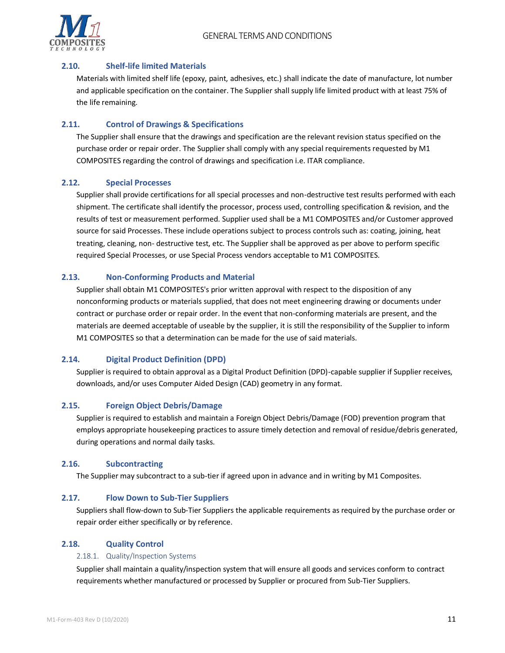

# <span id="page-10-0"></span>**2.10. Shelf-life limited Materials**

Materials with limited shelf life (epoxy, paint, adhesives, etc.) shall indicate the date of manufacture, lot number and applicable specification on the container. The Supplier shall supply life limited product with at least 75% of the life remaining.

# <span id="page-10-1"></span>**2.11. Control of Drawings & Specifications**

The Supplier shall ensure that the drawings and specification are the relevant revision status specified on the purchase order or repair order. The Supplier shall comply with any special requirements requested by M1 COMPOSITES regarding the control of drawings and specification i.e. ITAR compliance.

# <span id="page-10-2"></span>**2.12. Special Processes**

Supplier shall provide certifications for all special processes and non-destructive test results performed with each shipment. The certificate shall identify the processor, process used, controlling specification & revision, and the results of test or measurement performed. Supplier used shall be a M1 COMPOSITES and/or Customer approved source for said Processes. These include operations subject to process controls such as: coating, joining, heat treating, cleaning, non- destructive test, etc. The Supplier shall be approved as per above to perform specific required Special Processes, or use Special Process vendors acceptable to M1 COMPOSITES.

# <span id="page-10-3"></span>**2.13. Non-Conforming Products and Material**

Supplier shall obtain M1 COMPOSITES's prior written approval with respect to the disposition of any nonconforming products or materials supplied, that does not meet engineering drawing or documents under contract or purchase order or repair order. In the event that non-conforming materials are present, and the materials are deemed acceptable of useable by the supplier, it is still the responsibility of the Supplier to inform M1 COMPOSITES so that a determination can be made for the use of said materials.

# <span id="page-10-4"></span>**2.14. Digital Product Definition (DPD)**

Supplier is required to obtain approval as a Digital Product Definition (DPD)-capable supplier if Supplier receives, downloads, and/or uses Computer Aided Design (CAD) geometry in any format.

# <span id="page-10-5"></span>**2.15. Foreign Object Debris/Damage**

Supplier is required to establish and maintain a Foreign Object Debris/Damage (FOD) prevention program that employs appropriate housekeeping practices to assure timely detection and removal of residue/debris generated, during operations and normal daily tasks.

# <span id="page-10-6"></span>**2.16. Subcontracting**

The Supplier may subcontract to a sub-tier if agreed upon in advance and in writing by M1 Composites.

# <span id="page-10-7"></span>**2.17. Flow Down to Sub-Tier Suppliers**

Suppliers shall flow-down to Sub-Tier Suppliers the applicable requirements as required by the purchase order or repair order either specifically or by reference.

# <span id="page-10-9"></span><span id="page-10-8"></span>**2.18. Quality Control**

#### 2.18.1. Quality/Inspection Systems

Supplier shall maintain a quality/inspection system that will ensure all goods and services conform to contract requirements whether manufactured or processed by Supplier or procured from Sub-Tier Suppliers.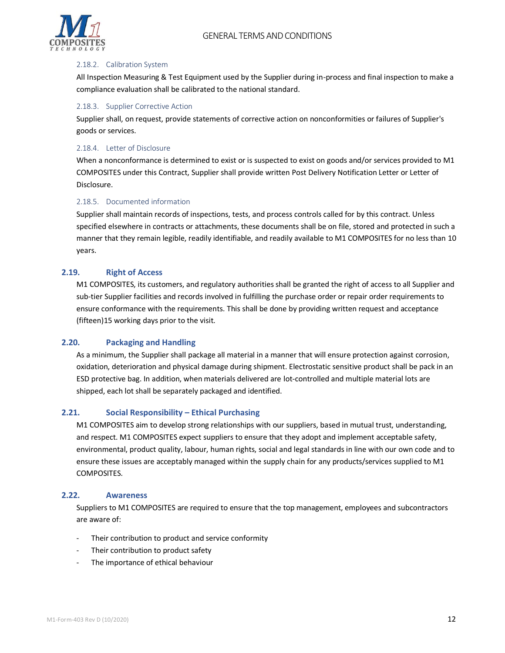

#### <span id="page-11-0"></span>2.18.2. Calibration System

All Inspection Measuring & Test Equipment used by the Supplier during in-process and final inspection to make a compliance evaluation shall be calibrated to the national standard.

#### <span id="page-11-1"></span>2.18.3. Supplier Corrective Action

Supplier shall, on request, provide statements of corrective action on nonconformities or failures of Supplier's goods or services.

#### <span id="page-11-2"></span>2.18.4. Letter of Disclosure

When a nonconformance is determined to exist or is suspected to exist on goods and/or services provided to M1 COMPOSITES under this Contract, Supplier shall provide written Post Delivery Notification Letter or Letter of Disclosure.

#### <span id="page-11-3"></span>2.18.5. Documented information

Supplier shall maintain records of inspections, tests, and process controls called for by this contract. Unless specified elsewhere in contracts or attachments, these documents shall be on file, stored and protected in such a manner that they remain legible, readily identifiable, and readily available to M1 COMPOSITES for no less than 10 years.

#### <span id="page-11-4"></span>**2.19. Right of Access**

M1 COMPOSITES, its customers, and regulatory authorities shall be granted the right of access to all Supplier and sub-tier Supplier facilities and records involved in fulfilling the purchase order or repair order requirements to ensure conformance with the requirements. This shall be done by providing written request and acceptance (fifteen)15 working days prior to the visit.

#### <span id="page-11-5"></span>**2.20. Packaging and Handling**

As a minimum, the Supplier shall package all material in a manner that will ensure protection against corrosion, oxidation, deterioration and physical damage during shipment. Electrostatic sensitive product shall be pack in an ESD protective bag. In addition, when materials delivered are lot-controlled and multiple material lots are shipped, each lot shall be separately packaged and identified.

#### <span id="page-11-6"></span>**2.21. Social Responsibility – Ethical Purchasing**

M1 COMPOSITES aim to develop strong relationships with our suppliers, based in mutual trust, understanding, and respect. M1 COMPOSITES expect suppliers to ensure that they adopt and implement acceptable safety, environmental, product quality, labour, human rights, social and legal standards in line with our own code and to ensure these issues are acceptably managed within the supply chain for any products/services supplied to M1 COMPOSITES.

# <span id="page-11-7"></span>**2.22. Awareness**

Suppliers to M1 COMPOSITES are required to ensure that the top management, employees and subcontractors are aware of:

- Their contribution to product and service conformity
- Their contribution to product safety
- The importance of ethical behaviour